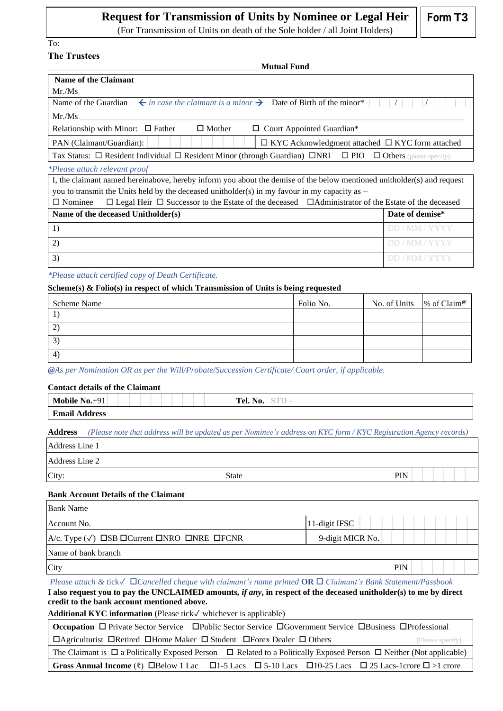# **Request for Transmission of Units by Nominee or Legal Heir**  $\|\cdot\|$  **Form T3**

(For Transmission of Units on death of the Sole holder / all Joint Holders)

To: **The Trustees**

| <b>Mutual Fund</b>                                                                                                                      |                 |
|-----------------------------------------------------------------------------------------------------------------------------------------|-----------------|
| <b>Name of the Claimant</b>                                                                                                             |                 |
| Mr.Ms.                                                                                                                                  |                 |
| $\leftarrow$ in case the claimant is a minor $\rightarrow$ Date of Birth of the minor <sup>*</sup><br>Name of the Guardian              |                 |
| Mr.Ms.                                                                                                                                  |                 |
| $\Box$ Mother<br>Relationship with Minor: $\Box$ Father<br>$\Box$ Court Appointed Guardian*                                             |                 |
| $\Box$ KYC Acknowledgment attached $\Box$ KYC form attached<br>PAN (Claimant/Guardian):                                                 |                 |
| Tax Status: $\Box$ Resident Individual $\Box$ Resident Minor (through Guardian) $\Box$ NRI $\Box$ PIO<br>$\Box$ Others (please specify) |                 |
| <i>*Please attach relevant proof</i>                                                                                                    |                 |
| I, the claimant named hereinabove, hereby inform you about the demise of the below mentioned unitholder(s) and request                  |                 |
| you to transmit the Units held by the deceased unitholder(s) in my favour in my capacity as $-$                                         |                 |
| $\Box$ Legal Heir $\Box$ Successor to the Estate of the deceased $\Box$ Administrator of the Estate of the deceased<br>$\Box$ Nominee   |                 |
| Name of the deceased Unitholder(s)                                                                                                      | Date of demise* |
| 1)                                                                                                                                      |                 |

*\*Please attach certified copy of Death Certificate.* 

### **Scheme(s) & Folio(s) in respect of which Transmission of Units is being requested**

| <b>Scheme Name</b> | Folio No. | No. of Units $\%$ of Claim <sup>®</sup> |  |
|--------------------|-----------|-----------------------------------------|--|
|                    |           |                                         |  |
| $\overline{2}$     |           |                                         |  |
| 3                  |           |                                         |  |
| -4                 |           |                                         |  |

2) the contraction of the contraction of  $\mathbb{R}^2$  DD / MM / YYYY 3) DD / MM / YYYY

*@As per Nomination OR as per the Will/Probate/Succession Certificate/ Court order, if applicable.*

## **Contact details of the Claimant**

| $ -$<br>$\Omega$ 1<br>Mobile<br>No.           | $\mathbf{N_0}$ .<br>Tel. |
|-----------------------------------------------|--------------------------|
| $\Gamma_{\text{mod}}$<br><b>Email Address</b> |                          |

**Address** *(Please note that address will be updated as per Nominee's address on KYC form / KYC Registration Agency records)* 

| Address Line 1 |              |     |
|----------------|--------------|-----|
| Address Line 2 |              |     |
| City:          | <b>State</b> | PIN |

### **Bank Account Details of the Claimant**

| <b>Bank Name</b>                                                                    |                   |
|-------------------------------------------------------------------------------------|-------------------|
| Account No.                                                                         | $ 11$ -digit IFSC |
| $A/c$ . Type $(\sqrt{})$ $\Box$ SB $\Box$ Current $\Box$ NRO $\Box$ NRE $\Box$ FCNR | 9-digit MICR No.  |
| Name of bank branch                                                                 |                   |
| City                                                                                | <b>PIN</b>        |

*Please attach &* tick✓ *Cancelled cheque with claimant's name printed* **OR** *Claimant's Bank Statement/Passbook*  **I also request you to pay the UNCLAIMED amounts***, if any***, in respect of the deceased unitholder(s) to me by direct credit to the bank account mentioned above.** 

**Additional KYC information** (Please tick✓ whichever is applicable)

|                                                                                                                                    | Occupation □ Private Sector Service □ Public Sector Service □ Government Service □ Business □ Professional                                     |                  |
|------------------------------------------------------------------------------------------------------------------------------------|------------------------------------------------------------------------------------------------------------------------------------------------|------------------|
| <b>I DAgriculturist DRetired DHome Maker D Student DForex Dealer D Others</b>                                                      |                                                                                                                                                | (Please specify) |
| The Claimant is $\Box$ a Politically Exposed Person $\Box$ Related to a Politically Exposed Person $\Box$ Neither (Not applicable) |                                                                                                                                                |                  |
|                                                                                                                                    | Gross Annual Income $(\bar{\tau})$ $\Box$ Below 1 Lac $\Box$ 1-5 Lacs $\Box$ 5-10 Lacs $\Box$ 10-25 Lacs $\Box$ 25 Lacs-1crore $\Box$ >1 crore |                  |